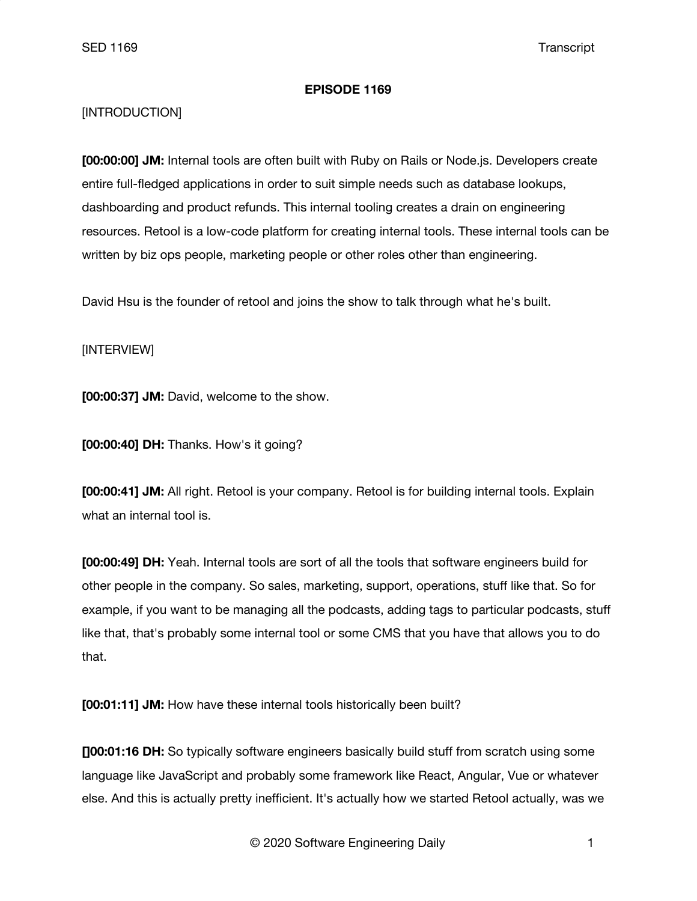### **EPISODE 1169**

# [INTRODUCTION]

**[00:00:00] JM:** Internal tools are often built with Ruby on Rails or Node.js. Developers create entire full-fledged applications in order to suit simple needs such as database lookups, dashboarding and product refunds. This internal tooling creates a drain on engineering resources. Retool is a low-code platform for creating internal tools. These internal tools can be written by biz ops people, marketing people or other roles other than engineering.

David Hsu is the founder of retool and joins the show to talk through what he's built.

## [INTERVIEW]

**[00:00:37] JM:** David, welcome to the show.

**[00:00:40] DH:** Thanks. How's it going?

**[00:00:41] JM:** All right. Retool is your company. Retool is for building internal tools. Explain what an internal tool is.

**[00:00:49] DH:** Yeah. Internal tools are sort of all the tools that software engineers build for other people in the company. So sales, marketing, support, operations, stuff like that. So for example, if you want to be managing all the podcasts, adding tags to particular podcasts, stuff like that, that's probably some internal tool or some CMS that you have that allows you to do that.

**[00:01:11] JM:** How have these internal tools historically been built?

**[]00:01:16 DH:** So typically software engineers basically build stuff from scratch using some language like JavaScript and probably some framework like React, Angular, Vue or whatever else. And this is actually pretty inefficient. It's actually how we started Retool actually, was we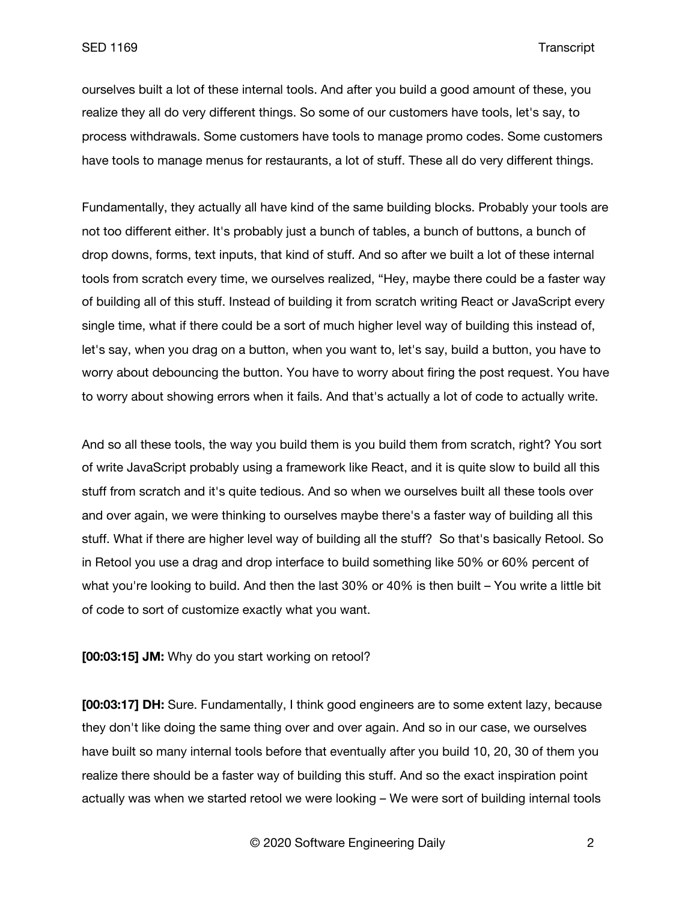ourselves built a lot of these internal tools. And after you build a good amount of these, you realize they all do very different things. So some of our customers have tools, let's say, to process withdrawals. Some customers have tools to manage promo codes. Some customers have tools to manage menus for restaurants, a lot of stuff. These all do very different things.

Fundamentally, they actually all have kind of the same building blocks. Probably your tools are not too different either. It's probably just a bunch of tables, a bunch of buttons, a bunch of drop downs, forms, text inputs, that kind of stuff. And so after we built a lot of these internal tools from scratch every time, we ourselves realized, "Hey, maybe there could be a faster way of building all of this stuff. Instead of building it from scratch writing React or JavaScript every single time, what if there could be a sort of much higher level way of building this instead of, let's say, when you drag on a button, when you want to, let's say, build a button, you have to worry about debouncing the button. You have to worry about firing the post request. You have to worry about showing errors when it fails. And that's actually a lot of code to actually write.

And so all these tools, the way you build them is you build them from scratch, right? You sort of write JavaScript probably using a framework like React, and it is quite slow to build all this stuff from scratch and it's quite tedious. And so when we ourselves built all these tools over and over again, we were thinking to ourselves maybe there's a faster way of building all this stuff. What if there are higher level way of building all the stuff? So that's basically Retool. So in Retool you use a drag and drop interface to build something like 50% or 60% percent of what you're looking to build. And then the last 30% or 40% is then built – You write a little bit of code to sort of customize exactly what you want.

#### **[00:03:15] JM:** Why do you start working on retool?

**[00:03:17] DH:** Sure. Fundamentally, I think good engineers are to some extent lazy, because they don't like doing the same thing over and over again. And so in our case, we ourselves have built so many internal tools before that eventually after you build 10, 20, 30 of them you realize there should be a faster way of building this stuff. And so the exact inspiration point actually was when we started retool we were looking – We were sort of building internal tools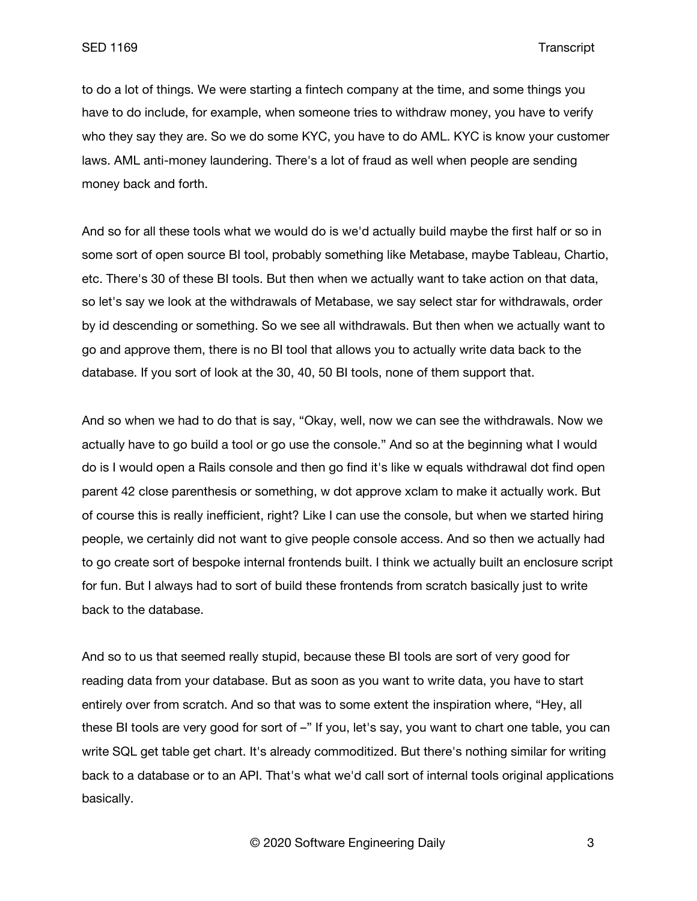to do a lot of things. We were starting a fintech company at the time, and some things you have to do include, for example, when someone tries to withdraw money, you have to verify who they say they are. So we do some KYC, you have to do AML. KYC is know your customer laws. AML anti-money laundering. There's a lot of fraud as well when people are sending money back and forth.

And so for all these tools what we would do is we'd actually build maybe the first half or so in some sort of open source BI tool, probably something like Metabase, maybe Tableau, Chartio, etc. There's 30 of these BI tools. But then when we actually want to take action on that data, so let's say we look at the withdrawals of Metabase, we say select star for withdrawals, order by id descending or something. So we see all withdrawals. But then when we actually want to go and approve them, there is no BI tool that allows you to actually write data back to the database. If you sort of look at the 30, 40, 50 BI tools, none of them support that.

And so when we had to do that is say, "Okay, well, now we can see the withdrawals. Now we actually have to go build a tool or go use the console." And so at the beginning what I would do is I would open a Rails console and then go find it's like w equals withdrawal dot find open parent 42 close parenthesis or something, w dot approve xclam to make it actually work. But of course this is really inefficient, right? Like I can use the console, but when we started hiring people, we certainly did not want to give people console access. And so then we actually had to go create sort of bespoke internal frontends built. I think we actually built an enclosure script for fun. But I always had to sort of build these frontends from scratch basically just to write back to the database.

And so to us that seemed really stupid, because these BI tools are sort of very good for reading data from your database. But as soon as you want to write data, you have to start entirely over from scratch. And so that was to some extent the inspiration where, "Hey, all these BI tools are very good for sort of -" If you, let's say, you want to chart one table, you can write SQL get table get chart. It's already commoditized. But there's nothing similar for writing back to a database or to an API. That's what we'd call sort of internal tools original applications basically.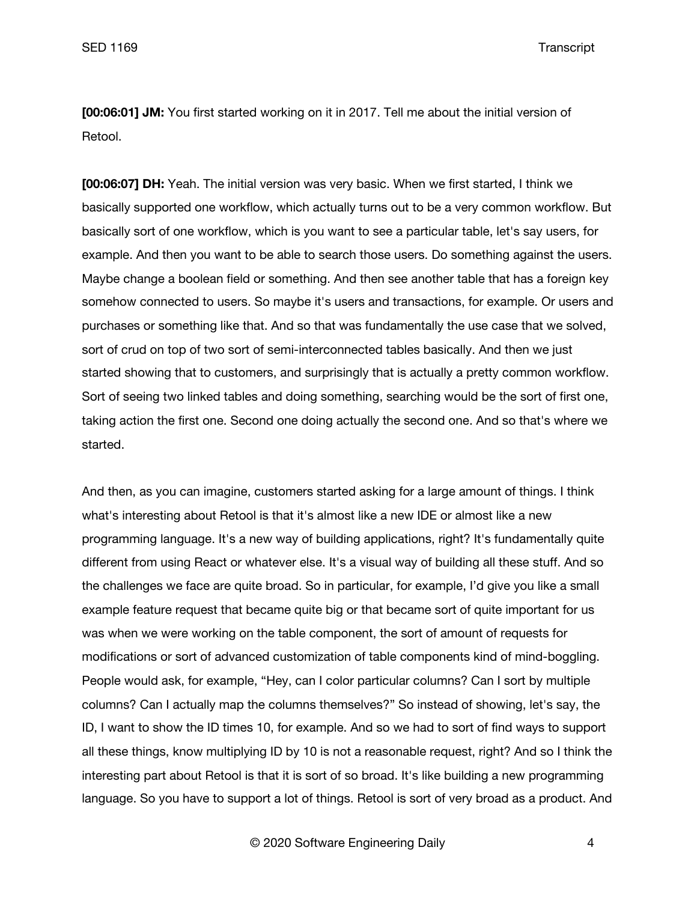**[00:06:01] JM:** You first started working on it in 2017. Tell me about the initial version of Retool.

**[00:06:07] DH:** Yeah. The initial version was very basic. When we first started, I think we basically supported one workflow, which actually turns out to be a very common workflow. But basically sort of one workflow, which is you want to see a particular table, let's say users, for example. And then you want to be able to search those users. Do something against the users. Maybe change a boolean field or something. And then see another table that has a foreign key somehow connected to users. So maybe it's users and transactions, for example. Or users and purchases or something like that. And so that was fundamentally the use case that we solved, sort of crud on top of two sort of semi-interconnected tables basically. And then we just started showing that to customers, and surprisingly that is actually a pretty common workflow. Sort of seeing two linked tables and doing something, searching would be the sort of first one, taking action the first one. Second one doing actually the second one. And so that's where we started.

And then, as you can imagine, customers started asking for a large amount of things. I think what's interesting about Retool is that it's almost like a new IDE or almost like a new programming language. It's a new way of building applications, right? It's fundamentally quite different from using React or whatever else. It's a visual way of building all these stuff. And so the challenges we face are quite broad. So in particular, for example, I'd give you like a small example feature request that became quite big or that became sort of quite important for us was when we were working on the table component, the sort of amount of requests for modifications or sort of advanced customization of table components kind of mind-boggling. People would ask, for example, "Hey, can I color particular columns? Can I sort by multiple columns? Can I actually map the columns themselves?" So instead of showing, let's say, the ID, I want to show the ID times 10, for example. And so we had to sort of find ways to support all these things, know multiplying ID by 10 is not a reasonable request, right? And so I think the interesting part about Retool is that it is sort of so broad. It's like building a new programming language. So you have to support a lot of things. Retool is sort of very broad as a product. And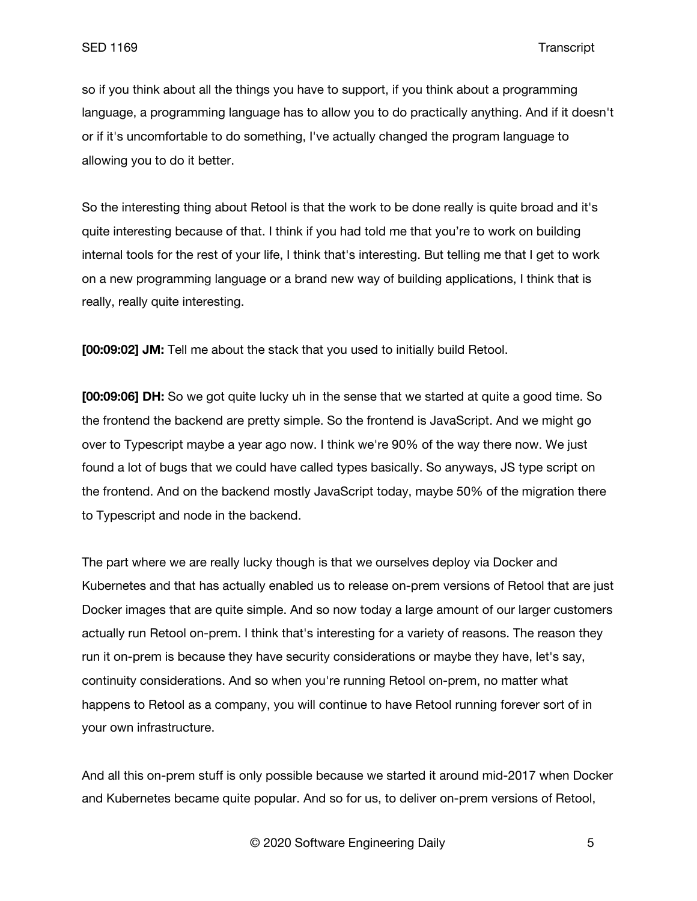so if you think about all the things you have to support, if you think about a programming language, a programming language has to allow you to do practically anything. And if it doesn't or if it's uncomfortable to do something, I've actually changed the program language to allowing you to do it better.

So the interesting thing about Retool is that the work to be done really is quite broad and it's quite interesting because of that. I think if you had told me that you're to work on building internal tools for the rest of your life, I think that's interesting. But telling me that I get to work on a new programming language or a brand new way of building applications, I think that is really, really quite interesting.

**[00:09:02] JM:** Tell me about the stack that you used to initially build Retool.

**[00:09:06] DH:** So we got quite lucky uh in the sense that we started at quite a good time. So the frontend the backend are pretty simple. So the frontend is JavaScript. And we might go over to Typescript maybe a year ago now. I think we're 90% of the way there now. We just found a lot of bugs that we could have called types basically. So anyways, JS type script on the frontend. And on the backend mostly JavaScript today, maybe 50% of the migration there to Typescript and node in the backend.

The part where we are really lucky though is that we ourselves deploy via Docker and Kubernetes and that has actually enabled us to release on-prem versions of Retool that are just Docker images that are quite simple. And so now today a large amount of our larger customers actually run Retool on-prem. I think that's interesting for a variety of reasons. The reason they run it on-prem is because they have security considerations or maybe they have, let's say, continuity considerations. And so when you're running Retool on-prem, no matter what happens to Retool as a company, you will continue to have Retool running forever sort of in your own infrastructure.

And all this on-prem stuff is only possible because we started it around mid-2017 when Docker and Kubernetes became quite popular. And so for us, to deliver on-prem versions of Retool,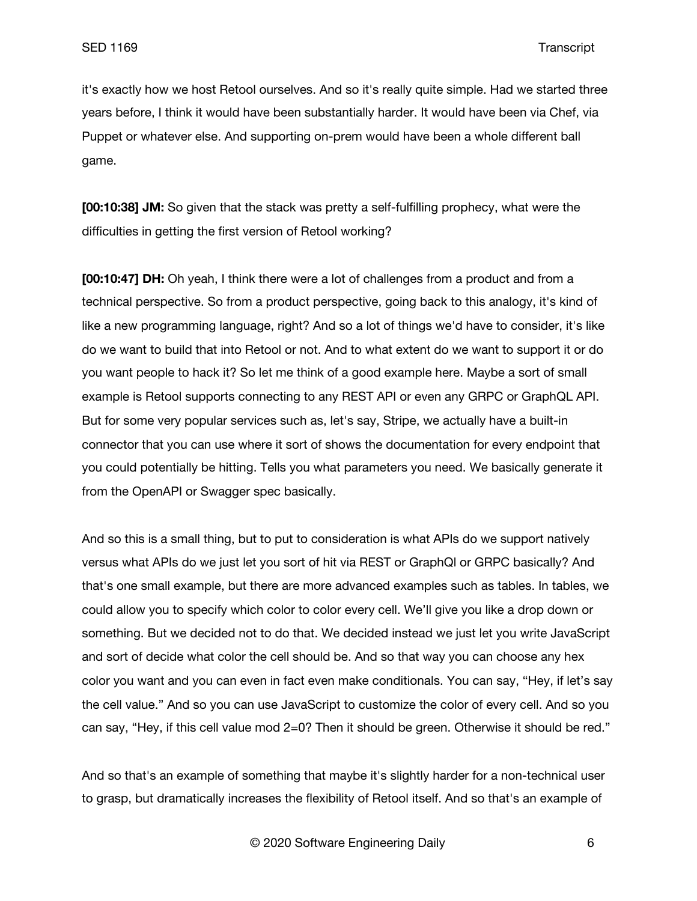it's exactly how we host Retool ourselves. And so it's really quite simple. Had we started three years before, I think it would have been substantially harder. It would have been via Chef, via Puppet or whatever else. And supporting on-prem would have been a whole different ball game.

**[00:10:38] JM:** So given that the stack was pretty a self-fulfilling prophecy, what were the difficulties in getting the first version of Retool working?

**[00:10:47] DH:** Oh yeah, I think there were a lot of challenges from a product and from a technical perspective. So from a product perspective, going back to this analogy, it's kind of like a new programming language, right? And so a lot of things we'd have to consider, it's like do we want to build that into Retool or not. And to what extent do we want to support it or do you want people to hack it? So let me think of a good example here. Maybe a sort of small example is Retool supports connecting to any REST API or even any GRPC or GraphQL API. But for some very popular services such as, let's say, Stripe, we actually have a built-in connector that you can use where it sort of shows the documentation for every endpoint that you could potentially be hitting. Tells you what parameters you need. We basically generate it from the OpenAPI or Swagger spec basically.

And so this is a small thing, but to put to consideration is what APIs do we support natively versus what APIs do we just let you sort of hit via REST or GraphQl or GRPC basically? And that's one small example, but there are more advanced examples such as tables. In tables, we could allow you to specify which color to color every cell. We'll give you like a drop down or something. But we decided not to do that. We decided instead we just let you write JavaScript and sort of decide what color the cell should be. And so that way you can choose any hex color you want and you can even in fact even make conditionals. You can say, "Hey, if let's say the cell value." And so you can use JavaScript to customize the color of every cell. And so you can say, "Hey, if this cell value mod 2=0? Then it should be green. Otherwise it should be red."

And so that's an example of something that maybe it's slightly harder for a non-technical user to grasp, but dramatically increases the flexibility of Retool itself. And so that's an example of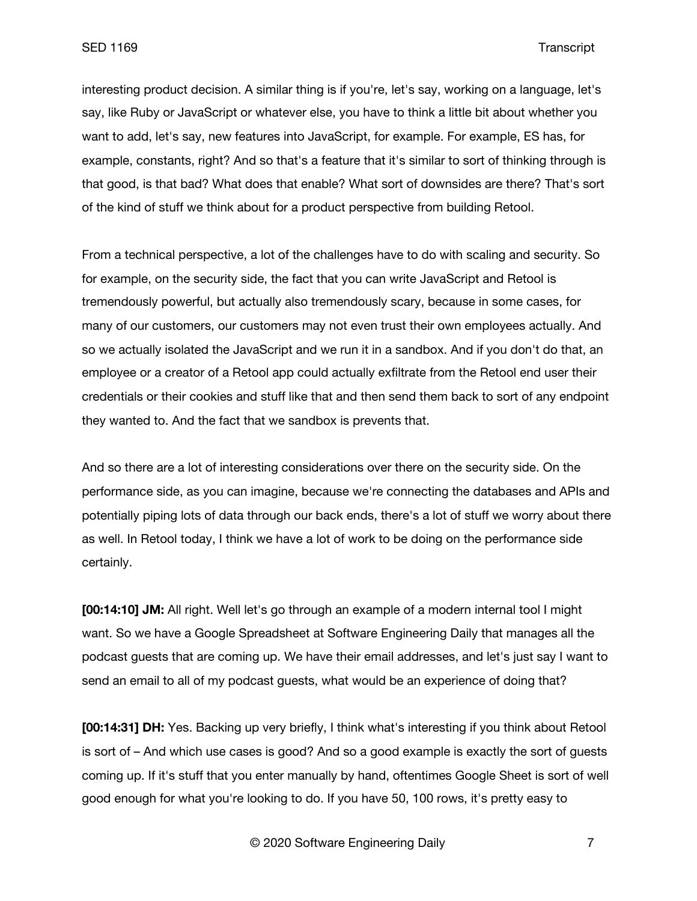interesting product decision. A similar thing is if you're, let's say, working on a language, let's say, like Ruby or JavaScript or whatever else, you have to think a little bit about whether you want to add, let's say, new features into JavaScript, for example. For example, ES has, for example, constants, right? And so that's a feature that it's similar to sort of thinking through is that good, is that bad? What does that enable? What sort of downsides are there? That's sort of the kind of stuff we think about for a product perspective from building Retool.

From a technical perspective, a lot of the challenges have to do with scaling and security. So for example, on the security side, the fact that you can write JavaScript and Retool is tremendously powerful, but actually also tremendously scary, because in some cases, for many of our customers, our customers may not even trust their own employees actually. And so we actually isolated the JavaScript and we run it in a sandbox. And if you don't do that, an employee or a creator of a Retool app could actually exfiltrate from the Retool end user their credentials or their cookies and stuff like that and then send them back to sort of any endpoint they wanted to. And the fact that we sandbox is prevents that.

And so there are a lot of interesting considerations over there on the security side. On the performance side, as you can imagine, because we're connecting the databases and APIs and potentially piping lots of data through our back ends, there's a lot of stuff we worry about there as well. In Retool today, I think we have a lot of work to be doing on the performance side certainly.

**[00:14:10] JM:** All right. Well let's go through an example of a modern internal tool I might want. So we have a Google Spreadsheet at Software Engineering Daily that manages all the podcast guests that are coming up. We have their email addresses, and let's just say I want to send an email to all of my podcast guests, what would be an experience of doing that?

**[00:14:31] DH:** Yes. Backing up very briefly, I think what's interesting if you think about Retool is sort of – And which use cases is good? And so a good example is exactly the sort of guests coming up. If it's stuff that you enter manually by hand, oftentimes Google Sheet is sort of well good enough for what you're looking to do. If you have 50, 100 rows, it's pretty easy to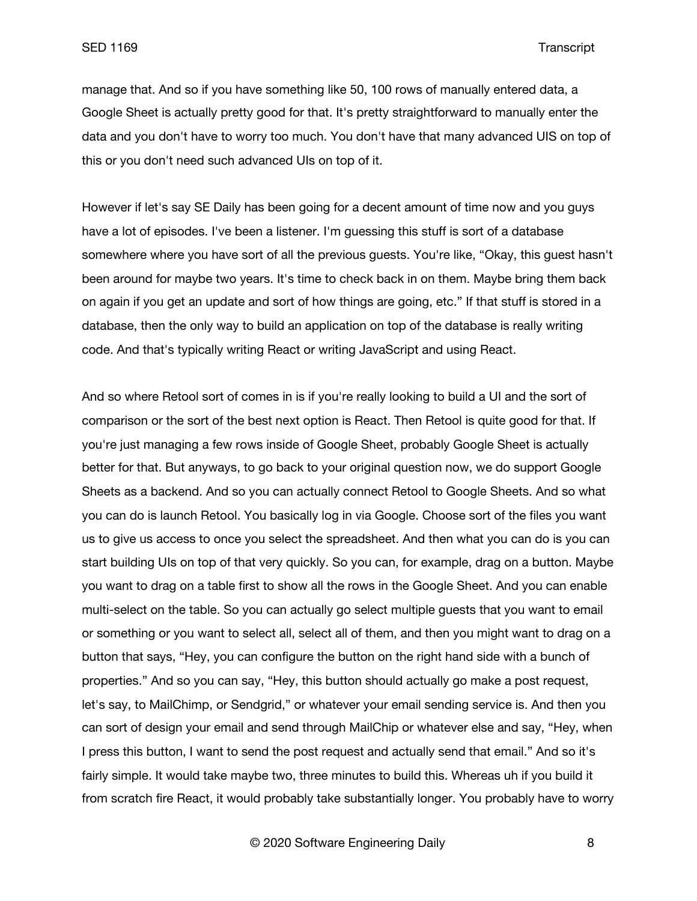manage that. And so if you have something like 50, 100 rows of manually entered data, a Google Sheet is actually pretty good for that. It's pretty straightforward to manually enter the data and you don't have to worry too much. You don't have that many advanced UIS on top of this or you don't need such advanced UIs on top of it.

However if let's say SE Daily has been going for a decent amount of time now and you guys have a lot of episodes. I've been a listener. I'm guessing this stuff is sort of a database somewhere where you have sort of all the previous guests. You're like, "Okay, this guest hasn't been around for maybe two years. It's time to check back in on them. Maybe bring them back on again if you get an update and sort of how things are going, etc." If that stuff is stored in a database, then the only way to build an application on top of the database is really writing code. And that's typically writing React or writing JavaScript and using React.

And so where Retool sort of comes in is if you're really looking to build a UI and the sort of comparison or the sort of the best next option is React. Then Retool is quite good for that. If you're just managing a few rows inside of Google Sheet, probably Google Sheet is actually better for that. But anyways, to go back to your original question now, we do support Google Sheets as a backend. And so you can actually connect Retool to Google Sheets. And so what you can do is launch Retool. You basically log in via Google. Choose sort of the files you want us to give us access to once you select the spreadsheet. And then what you can do is you can start building UIs on top of that very quickly. So you can, for example, drag on a button. Maybe you want to drag on a table first to show all the rows in the Google Sheet. And you can enable multi-select on the table. So you can actually go select multiple guests that you want to email or something or you want to select all, select all of them, and then you might want to drag on a button that says, "Hey, you can configure the button on the right hand side with a bunch of properties." And so you can say, "Hey, this button should actually go make a post request, let's say, to MailChimp, or Sendgrid," or whatever your email sending service is. And then you can sort of design your email and send through MailChip or whatever else and say, "Hey, when I press this button, I want to send the post request and actually send that email." And so it's fairly simple. It would take maybe two, three minutes to build this. Whereas uh if you build it from scratch fire React, it would probably take substantially longer. You probably have to worry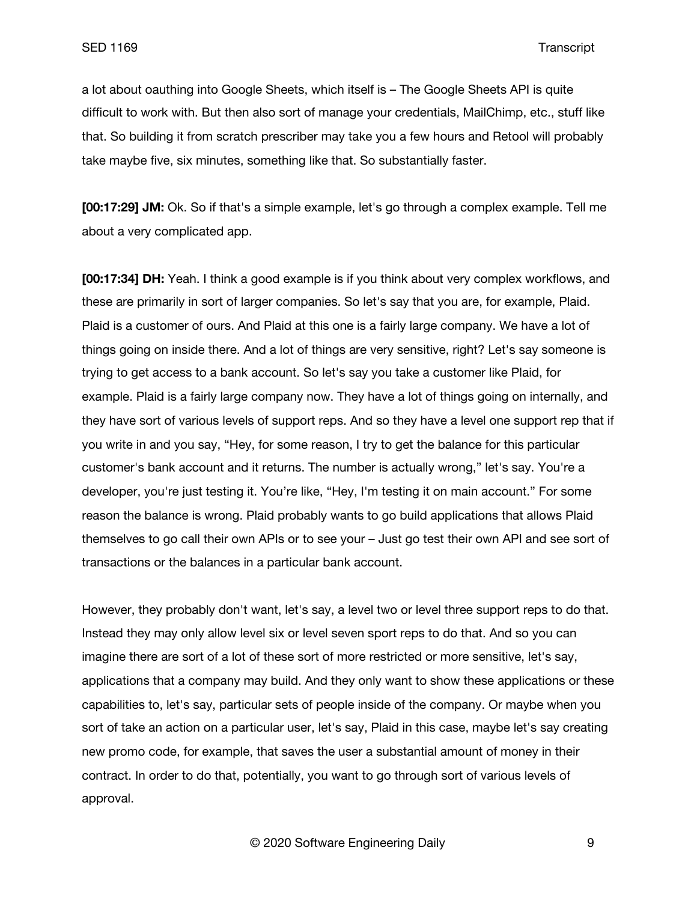a lot about oauthing into Google Sheets, which itself is – The Google Sheets API is quite difficult to work with. But then also sort of manage your credentials, MailChimp, etc., stuff like that. So building it from scratch prescriber may take you a few hours and Retool will probably take maybe five, six minutes, something like that. So substantially faster.

**[00:17:29] JM:** Ok. So if that's a simple example, let's go through a complex example. Tell me about a very complicated app.

**[00:17:34] DH:** Yeah. I think a good example is if you think about very complex workflows, and these are primarily in sort of larger companies. So let's say that you are, for example, Plaid. Plaid is a customer of ours. And Plaid at this one is a fairly large company. We have a lot of things going on inside there. And a lot of things are very sensitive, right? Let's say someone is trying to get access to a bank account. So let's say you take a customer like Plaid, for example. Plaid is a fairly large company now. They have a lot of things going on internally, and they have sort of various levels of support reps. And so they have a level one support rep that if you write in and you say, "Hey, for some reason, I try to get the balance for this particular customer's bank account and it returns. The number is actually wrong," let's say. You're a developer, you're just testing it. You're like, "Hey, I'm testing it on main account." For some reason the balance is wrong. Plaid probably wants to go build applications that allows Plaid themselves to go call their own APIs or to see your – Just go test their own API and see sort of transactions or the balances in a particular bank account.

However, they probably don't want, let's say, a level two or level three support reps to do that. Instead they may only allow level six or level seven sport reps to do that. And so you can imagine there are sort of a lot of these sort of more restricted or more sensitive, let's say, applications that a company may build. And they only want to show these applications or these capabilities to, let's say, particular sets of people inside of the company. Or maybe when you sort of take an action on a particular user, let's say, Plaid in this case, maybe let's say creating new promo code, for example, that saves the user a substantial amount of money in their contract. In order to do that, potentially, you want to go through sort of various levels of approval.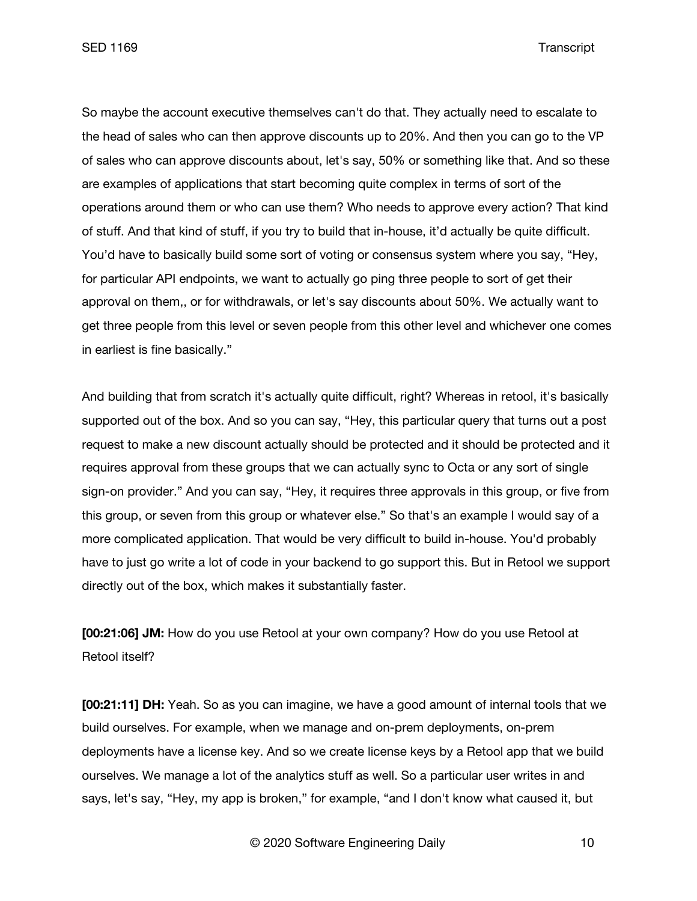SED 1169 Transcript

So maybe the account executive themselves can't do that. They actually need to escalate to the head of sales who can then approve discounts up to 20%. And then you can go to the VP of sales who can approve discounts about, let's say, 50% or something like that. And so these are examples of applications that start becoming quite complex in terms of sort of the operations around them or who can use them? Who needs to approve every action? That kind of stuff. And that kind of stuff, if you try to build that in-house, it'd actually be quite difficult. You'd have to basically build some sort of voting or consensus system where you say, "Hey, for particular API endpoints, we want to actually go ping three people to sort of get their approval on them,, or for withdrawals, or let's say discounts about 50%. We actually want to get three people from this level or seven people from this other level and whichever one comes in earliest is fine basically."

And building that from scratch it's actually quite difficult, right? Whereas in retool, it's basically supported out of the box. And so you can say, "Hey, this particular query that turns out a post request to make a new discount actually should be protected and it should be protected and it requires approval from these groups that we can actually sync to Octa or any sort of single sign-on provider." And you can say, "Hey, it requires three approvals in this group, or five from this group, or seven from this group or whatever else." So that's an example I would say of a more complicated application. That would be very difficult to build in-house. You'd probably have to just go write a lot of code in your backend to go support this. But in Retool we support directly out of the box, which makes it substantially faster.

**[00:21:06] JM:** How do you use Retool at your own company? How do you use Retool at Retool itself?

**[00:21:11] DH:** Yeah. So as you can imagine, we have a good amount of internal tools that we build ourselves. For example, when we manage and on-prem deployments, on-prem deployments have a license key. And so we create license keys by a Retool app that we build ourselves. We manage a lot of the analytics stuff as well. So a particular user writes in and says, let's say, "Hey, my app is broken," for example, "and I don't know what caused it, but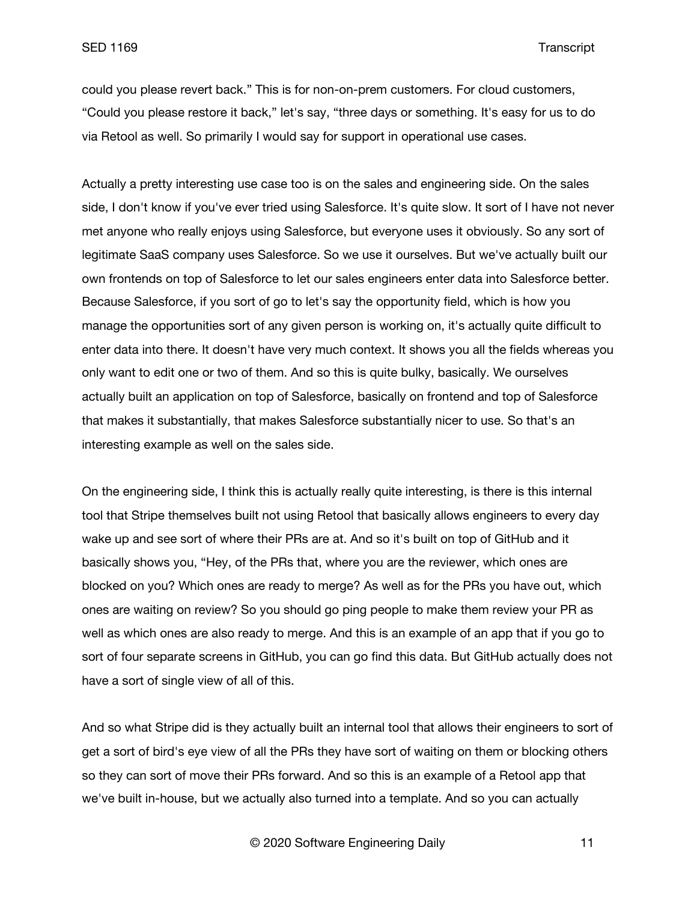could you please revert back." This is for non-on-prem customers. For cloud customers, "Could you please restore it back," let's say, "three days or something. It's easy for us to do via Retool as well. So primarily I would say for support in operational use cases.

Actually a pretty interesting use case too is on the sales and engineering side. On the sales side, I don't know if you've ever tried using Salesforce. It's quite slow. It sort of I have not never met anyone who really enjoys using Salesforce, but everyone uses it obviously. So any sort of legitimate SaaS company uses Salesforce. So we use it ourselves. But we've actually built our own frontends on top of Salesforce to let our sales engineers enter data into Salesforce better. Because Salesforce, if you sort of go to let's say the opportunity field, which is how you manage the opportunities sort of any given person is working on, it's actually quite difficult to enter data into there. It doesn't have very much context. It shows you all the fields whereas you only want to edit one or two of them. And so this is quite bulky, basically. We ourselves actually built an application on top of Salesforce, basically on frontend and top of Salesforce that makes it substantially, that makes Salesforce substantially nicer to use. So that's an interesting example as well on the sales side.

On the engineering side, I think this is actually really quite interesting, is there is this internal tool that Stripe themselves built not using Retool that basically allows engineers to every day wake up and see sort of where their PRs are at. And so it's built on top of GitHub and it basically shows you, "Hey, of the PRs that, where you are the reviewer, which ones are blocked on you? Which ones are ready to merge? As well as for the PRs you have out, which ones are waiting on review? So you should go ping people to make them review your PR as well as which ones are also ready to merge. And this is an example of an app that if you go to sort of four separate screens in GitHub, you can go find this data. But GitHub actually does not have a sort of single view of all of this.

And so what Stripe did is they actually built an internal tool that allows their engineers to sort of get a sort of bird's eye view of all the PRs they have sort of waiting on them or blocking others so they can sort of move their PRs forward. And so this is an example of a Retool app that we've built in-house, but we actually also turned into a template. And so you can actually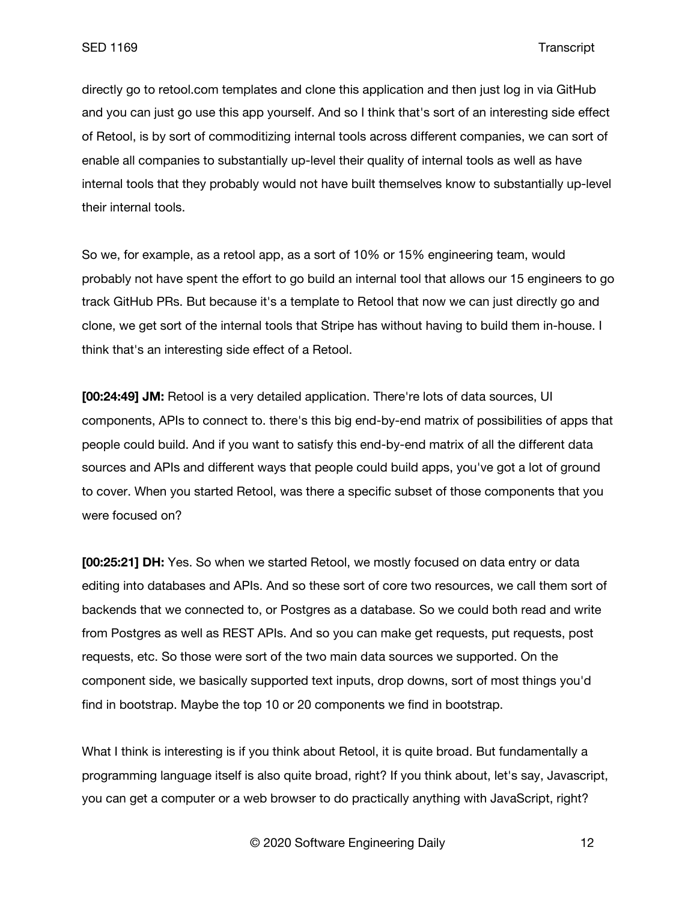directly go to retool.com templates and clone this application and then just log in via GitHub and you can just go use this app yourself. And so I think that's sort of an interesting side effect of Retool, is by sort of commoditizing internal tools across different companies, we can sort of enable all companies to substantially up-level their quality of internal tools as well as have internal tools that they probably would not have built themselves know to substantially up-level their internal tools.

So we, for example, as a retool app, as a sort of 10% or 15% engineering team, would probably not have spent the effort to go build an internal tool that allows our 15 engineers to go track GitHub PRs. But because it's a template to Retool that now we can just directly go and clone, we get sort of the internal tools that Stripe has without having to build them in-house. I think that's an interesting side effect of a Retool.

**[00:24:49] JM:** Retool is a very detailed application. There're lots of data sources, UI components, APIs to connect to. there's this big end-by-end matrix of possibilities of apps that people could build. And if you want to satisfy this end-by-end matrix of all the different data sources and APIs and different ways that people could build apps, you've got a lot of ground to cover. When you started Retool, was there a specific subset of those components that you were focused on?

**[00:25:21] DH:** Yes. So when we started Retool, we mostly focused on data entry or data editing into databases and APIs. And so these sort of core two resources, we call them sort of backends that we connected to, or Postgres as a database. So we could both read and write from Postgres as well as REST APIs. And so you can make get requests, put requests, post requests, etc. So those were sort of the two main data sources we supported. On the component side, we basically supported text inputs, drop downs, sort of most things you'd find in bootstrap. Maybe the top 10 or 20 components we find in bootstrap.

What I think is interesting is if you think about Retool, it is quite broad. But fundamentally a programming language itself is also quite broad, right? If you think about, let's say, Javascript, you can get a computer or a web browser to do practically anything with JavaScript, right?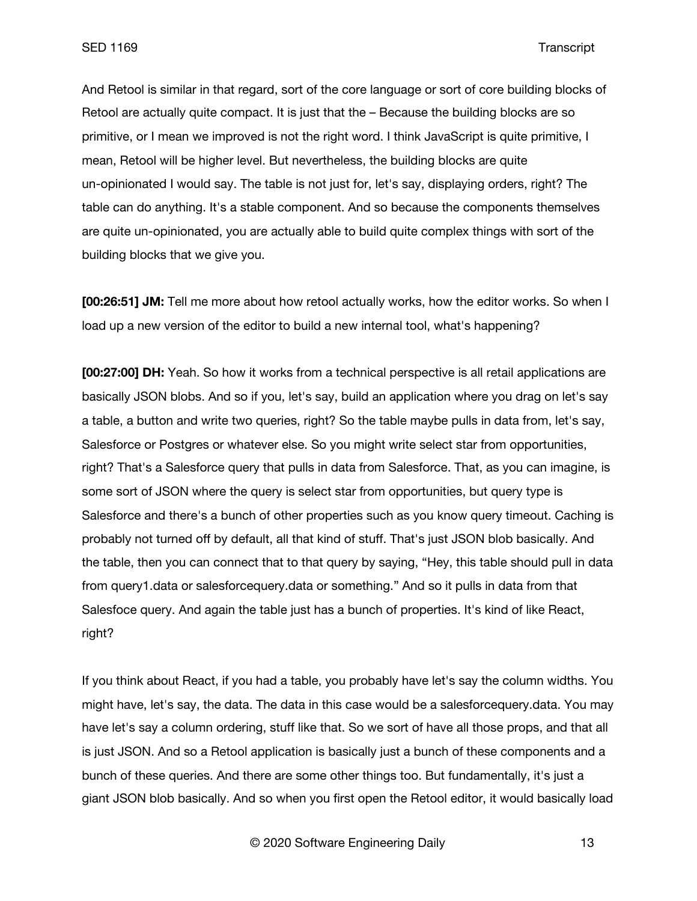And Retool is similar in that regard, sort of the core language or sort of core building blocks of Retool are actually quite compact. It is just that the – Because the building blocks are so primitive, or I mean we improved is not the right word. I think JavaScript is quite primitive, I mean, Retool will be higher level. But nevertheless, the building blocks are quite un-opinionated I would say. The table is not just for, let's say, displaying orders, right? The table can do anything. It's a stable component. And so because the components themselves are quite un-opinionated, you are actually able to build quite complex things with sort of the building blocks that we give you.

**[00:26:51] JM:** Tell me more about how retool actually works, how the editor works. So when I load up a new version of the editor to build a new internal tool, what's happening?

**[00:27:00] DH:** Yeah. So how it works from a technical perspective is all retail applications are basically JSON blobs. And so if you, let's say, build an application where you drag on let's say a table, a button and write two queries, right? So the table maybe pulls in data from, let's say, Salesforce or Postgres or whatever else. So you might write select star from opportunities, right? That's a Salesforce query that pulls in data from Salesforce. That, as you can imagine, is some sort of JSON where the query is select star from opportunities, but query type is Salesforce and there's a bunch of other properties such as you know query timeout. Caching is probably not turned off by default, all that kind of stuff. That's just JSON blob basically. And the table, then you can connect that to that query by saying, "Hey, this table should pull in data from query1.data or salesforcequery.data or something." And so it pulls in data from that Salesfoce query. And again the table just has a bunch of properties. It's kind of like React, right?

If you think about React, if you had a table, you probably have let's say the column widths. You might have, let's say, the data. The data in this case would be a salesforcequery.data. You may have let's say a column ordering, stuff like that. So we sort of have all those props, and that all is just JSON. And so a Retool application is basically just a bunch of these components and a bunch of these queries. And there are some other things too. But fundamentally, it's just a giant JSON blob basically. And so when you first open the Retool editor, it would basically load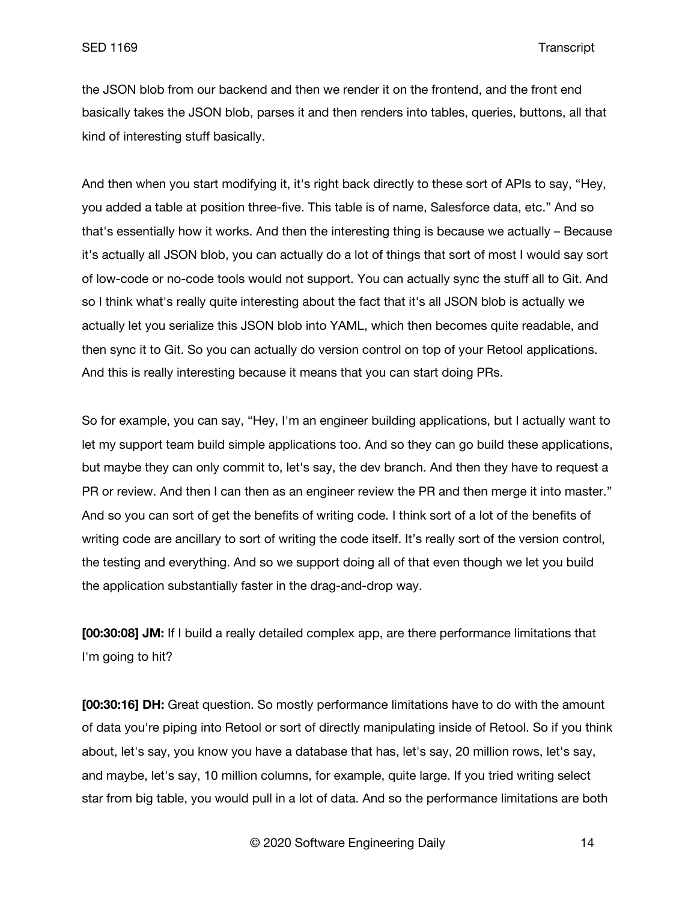the JSON blob from our backend and then we render it on the frontend, and the front end basically takes the JSON blob, parses it and then renders into tables, queries, buttons, all that kind of interesting stuff basically.

And then when you start modifying it, it's right back directly to these sort of APIs to say, "Hey, you added a table at position three-five. This table is of name, Salesforce data, etc." And so that's essentially how it works. And then the interesting thing is because we actually – Because it's actually all JSON blob, you can actually do a lot of things that sort of most I would say sort of low-code or no-code tools would not support. You can actually sync the stuff all to Git. And so I think what's really quite interesting about the fact that it's all JSON blob is actually we actually let you serialize this JSON blob into YAML, which then becomes quite readable, and then sync it to Git. So you can actually do version control on top of your Retool applications. And this is really interesting because it means that you can start doing PRs.

So for example, you can say, "Hey, I'm an engineer building applications, but I actually want to let my support team build simple applications too. And so they can go build these applications, but maybe they can only commit to, let's say, the dev branch. And then they have to request a PR or review. And then I can then as an engineer review the PR and then merge it into master." And so you can sort of get the benefits of writing code. I think sort of a lot of the benefits of writing code are ancillary to sort of writing the code itself. It's really sort of the version control, the testing and everything. And so we support doing all of that even though we let you build the application substantially faster in the drag-and-drop way.

**[00:30:08] JM:** If I build a really detailed complex app, are there performance limitations that I'm going to hit?

**[00:30:16] DH:** Great question. So mostly performance limitations have to do with the amount of data you're piping into Retool or sort of directly manipulating inside of Retool. So if you think about, let's say, you know you have a database that has, let's say, 20 million rows, let's say, and maybe, let's say, 10 million columns, for example, quite large. If you tried writing select star from big table, you would pull in a lot of data. And so the performance limitations are both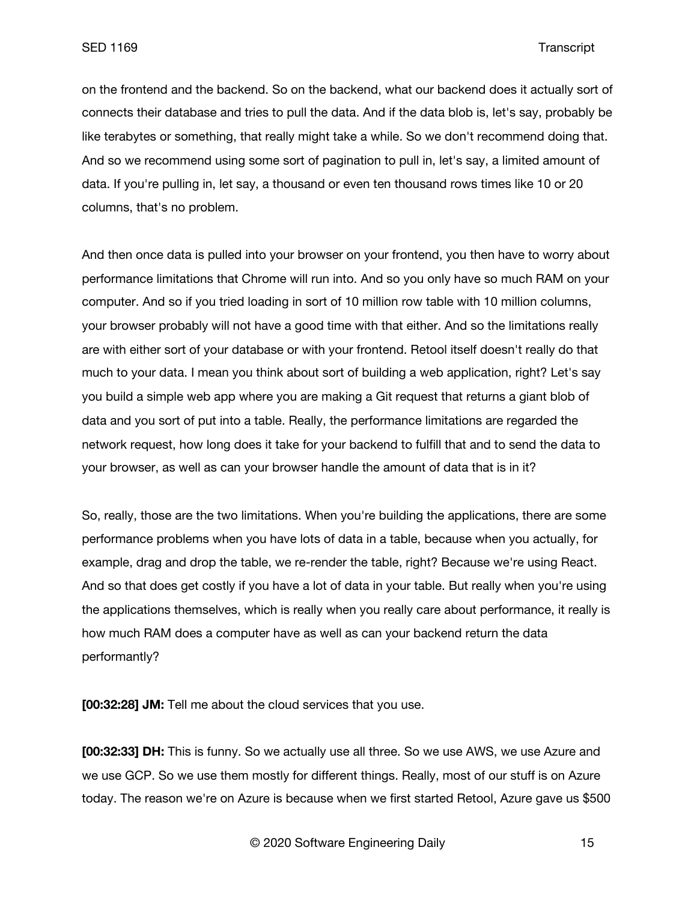on the frontend and the backend. So on the backend, what our backend does it actually sort of connects their database and tries to pull the data. And if the data blob is, let's say, probably be like terabytes or something, that really might take a while. So we don't recommend doing that. And so we recommend using some sort of pagination to pull in, let's say, a limited amount of data. If you're pulling in, let say, a thousand or even ten thousand rows times like 10 or 20 columns, that's no problem.

And then once data is pulled into your browser on your frontend, you then have to worry about performance limitations that Chrome will run into. And so you only have so much RAM on your computer. And so if you tried loading in sort of 10 million row table with 10 million columns, your browser probably will not have a good time with that either. And so the limitations really are with either sort of your database or with your frontend. Retool itself doesn't really do that much to your data. I mean you think about sort of building a web application, right? Let's say you build a simple web app where you are making a Git request that returns a giant blob of data and you sort of put into a table. Really, the performance limitations are regarded the network request, how long does it take for your backend to fulfill that and to send the data to your browser, as well as can your browser handle the amount of data that is in it?

So, really, those are the two limitations. When you're building the applications, there are some performance problems when you have lots of data in a table, because when you actually, for example, drag and drop the table, we re-render the table, right? Because we're using React. And so that does get costly if you have a lot of data in your table. But really when you're using the applications themselves, which is really when you really care about performance, it really is how much RAM does a computer have as well as can your backend return the data performantly?

**[00:32:28] JM:** Tell me about the cloud services that you use.

**[00:32:33] DH:** This is funny. So we actually use all three. So we use AWS, we use Azure and we use GCP. So we use them mostly for different things. Really, most of our stuff is on Azure today. The reason we're on Azure is because when we first started Retool, Azure gave us \$500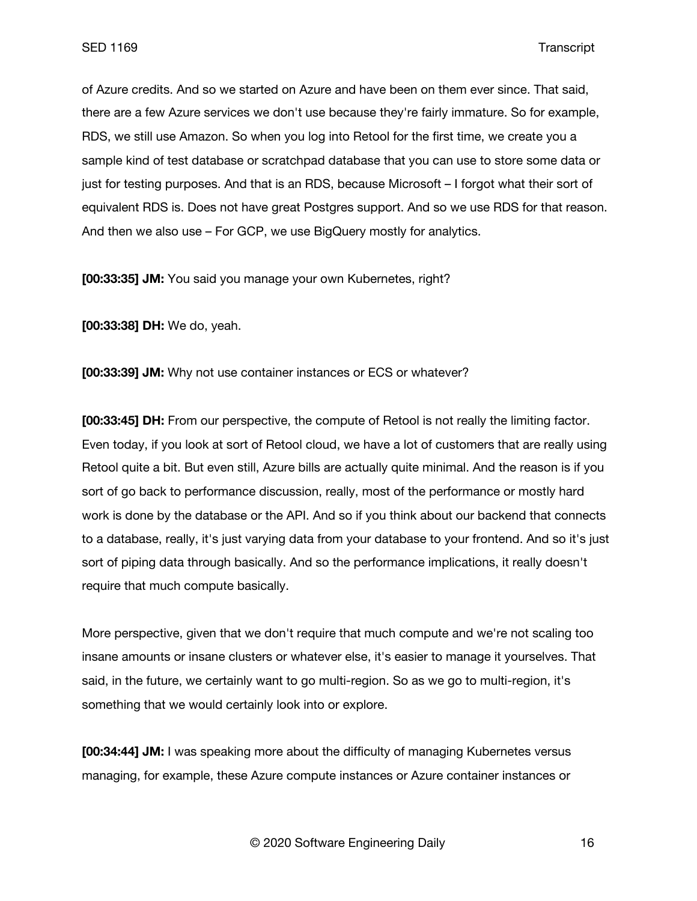of Azure credits. And so we started on Azure and have been on them ever since. That said, there are a few Azure services we don't use because they're fairly immature. So for example, RDS, we still use Amazon. So when you log into Retool for the first time, we create you a sample kind of test database or scratchpad database that you can use to store some data or just for testing purposes. And that is an RDS, because Microsoft – I forgot what their sort of equivalent RDS is. Does not have great Postgres support. And so we use RDS for that reason. And then we also use – For GCP, we use BigQuery mostly for analytics.

**[00:33:35] JM:** You said you manage your own Kubernetes, right?

**[00:33:38] DH:** We do, yeah.

**[00:33:39] JM:** Why not use container instances or ECS or whatever?

**[00:33:45] DH:** From our perspective, the compute of Retool is not really the limiting factor. Even today, if you look at sort of Retool cloud, we have a lot of customers that are really using Retool quite a bit. But even still, Azure bills are actually quite minimal. And the reason is if you sort of go back to performance discussion, really, most of the performance or mostly hard work is done by the database or the API. And so if you think about our backend that connects to a database, really, it's just varying data from your database to your frontend. And so it's just sort of piping data through basically. And so the performance implications, it really doesn't require that much compute basically.

More perspective, given that we don't require that much compute and we're not scaling too insane amounts or insane clusters or whatever else, it's easier to manage it yourselves. That said, in the future, we certainly want to go multi-region. So as we go to multi-region, it's something that we would certainly look into or explore.

**[00:34:44] JM:** I was speaking more about the difficulty of managing Kubernetes versus managing, for example, these Azure compute instances or Azure container instances or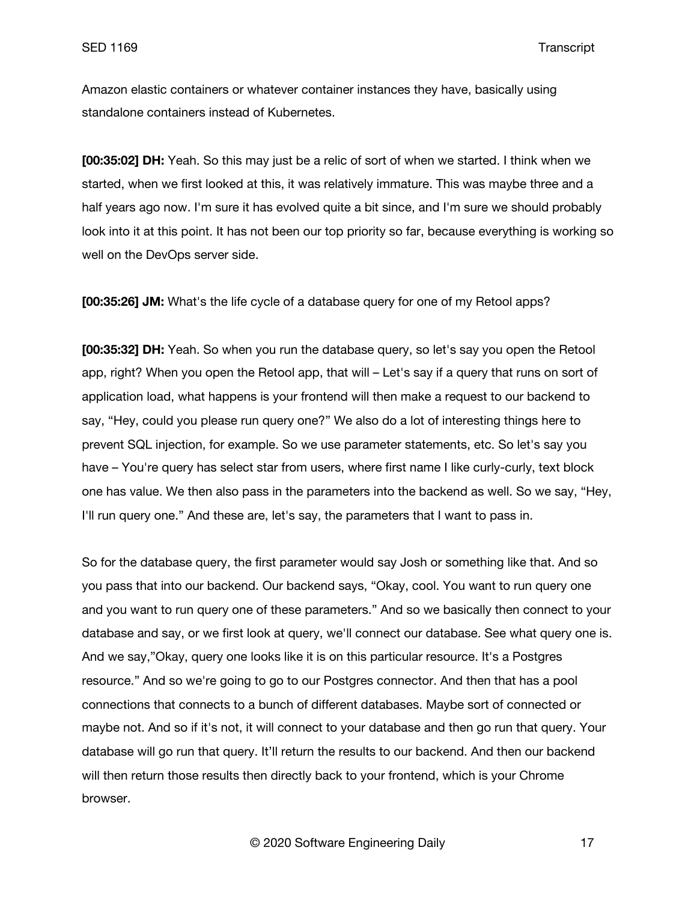Amazon elastic containers or whatever container instances they have, basically using standalone containers instead of Kubernetes.

**[00:35:02] DH:** Yeah. So this may just be a relic of sort of when we started. I think when we started, when we first looked at this, it was relatively immature. This was maybe three and a half years ago now. I'm sure it has evolved quite a bit since, and I'm sure we should probably look into it at this point. It has not been our top priority so far, because everything is working so well on the DevOps server side.

**[00:35:26] JM:** What's the life cycle of a database query for one of my Retool apps?

**[00:35:32] DH:** Yeah. So when you run the database query, so let's say you open the Retool app, right? When you open the Retool app, that will – Let's say if a query that runs on sort of application load, what happens is your frontend will then make a request to our backend to say, "Hey, could you please run query one?" We also do a lot of interesting things here to prevent SQL injection, for example. So we use parameter statements, etc. So let's say you have – You're query has select star from users, where first name I like curly-curly, text block one has value. We then also pass in the parameters into the backend as well. So we say, "Hey, I'll run query one." And these are, let's say, the parameters that I want to pass in.

So for the database query, the first parameter would say Josh or something like that. And so you pass that into our backend. Our backend says, "Okay, cool. You want to run query one and you want to run query one of these parameters." And so we basically then connect to your database and say, or we first look at query, we'll connect our database. See what query one is. And we say,"Okay, query one looks like it is on this particular resource. It's a Postgres resource." And so we're going to go to our Postgres connector. And then that has a pool connections that connects to a bunch of different databases. Maybe sort of connected or maybe not. And so if it's not, it will connect to your database and then go run that query. Your database will go run that query. It'll return the results to our backend. And then our backend will then return those results then directly back to your frontend, which is your Chrome browser.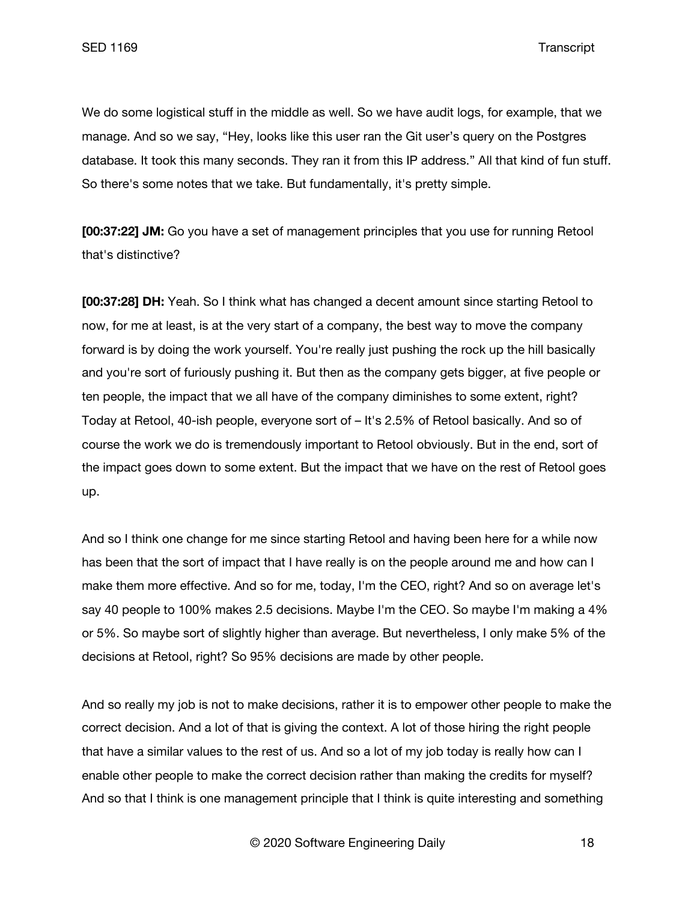We do some logistical stuff in the middle as well. So we have audit logs, for example, that we manage. And so we say, "Hey, looks like this user ran the Git user's query on the Postgres database. It took this many seconds. They ran it from this IP address." All that kind of fun stuff. So there's some notes that we take. But fundamentally, it's pretty simple.

**[00:37:22] JM:** Go you have a set of management principles that you use for running Retool that's distinctive?

**[00:37:28] DH:** Yeah. So I think what has changed a decent amount since starting Retool to now, for me at least, is at the very start of a company, the best way to move the company forward is by doing the work yourself. You're really just pushing the rock up the hill basically and you're sort of furiously pushing it. But then as the company gets bigger, at five people or ten people, the impact that we all have of the company diminishes to some extent, right? Today at Retool, 40-ish people, everyone sort of – It's 2.5% of Retool basically. And so of course the work we do is tremendously important to Retool obviously. But in the end, sort of the impact goes down to some extent. But the impact that we have on the rest of Retool goes up.

And so I think one change for me since starting Retool and having been here for a while now has been that the sort of impact that I have really is on the people around me and how can I make them more effective. And so for me, today, I'm the CEO, right? And so on average let's say 40 people to 100% makes 2.5 decisions. Maybe I'm the CEO. So maybe I'm making a 4% or 5%. So maybe sort of slightly higher than average. But nevertheless, I only make 5% of the decisions at Retool, right? So 95% decisions are made by other people.

And so really my job is not to make decisions, rather it is to empower other people to make the correct decision. And a lot of that is giving the context. A lot of those hiring the right people that have a similar values to the rest of us. And so a lot of my job today is really how can I enable other people to make the correct decision rather than making the credits for myself? And so that I think is one management principle that I think is quite interesting and something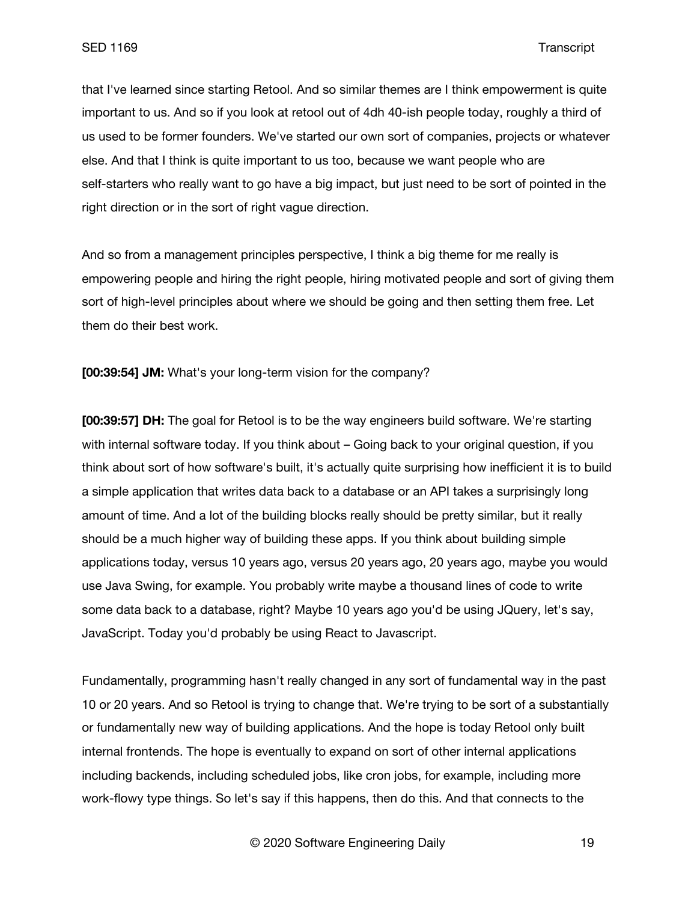that I've learned since starting Retool. And so similar themes are I think empowerment is quite important to us. And so if you look at retool out of 4dh 40-ish people today, roughly a third of us used to be former founders. We've started our own sort of companies, projects or whatever else. And that I think is quite important to us too, because we want people who are self-starters who really want to go have a big impact, but just need to be sort of pointed in the right direction or in the sort of right vague direction.

And so from a management principles perspective, I think a big theme for me really is empowering people and hiring the right people, hiring motivated people and sort of giving them sort of high-level principles about where we should be going and then setting them free. Let them do their best work.

**[00:39:54] JM:** What's your long-term vision for the company?

**[00:39:57] DH:** The goal for Retool is to be the way engineers build software. We're starting with internal software today. If you think about – Going back to your original question, if you think about sort of how software's built, it's actually quite surprising how inefficient it is to build a simple application that writes data back to a database or an API takes a surprisingly long amount of time. And a lot of the building blocks really should be pretty similar, but it really should be a much higher way of building these apps. If you think about building simple applications today, versus 10 years ago, versus 20 years ago, 20 years ago, maybe you would use Java Swing, for example. You probably write maybe a thousand lines of code to write some data back to a database, right? Maybe 10 years ago you'd be using JQuery, let's say, JavaScript. Today you'd probably be using React to Javascript.

Fundamentally, programming hasn't really changed in any sort of fundamental way in the past 10 or 20 years. And so Retool is trying to change that. We're trying to be sort of a substantially or fundamentally new way of building applications. And the hope is today Retool only built internal frontends. The hope is eventually to expand on sort of other internal applications including backends, including scheduled jobs, like cron jobs, for example, including more work-flowy type things. So let's say if this happens, then do this. And that connects to the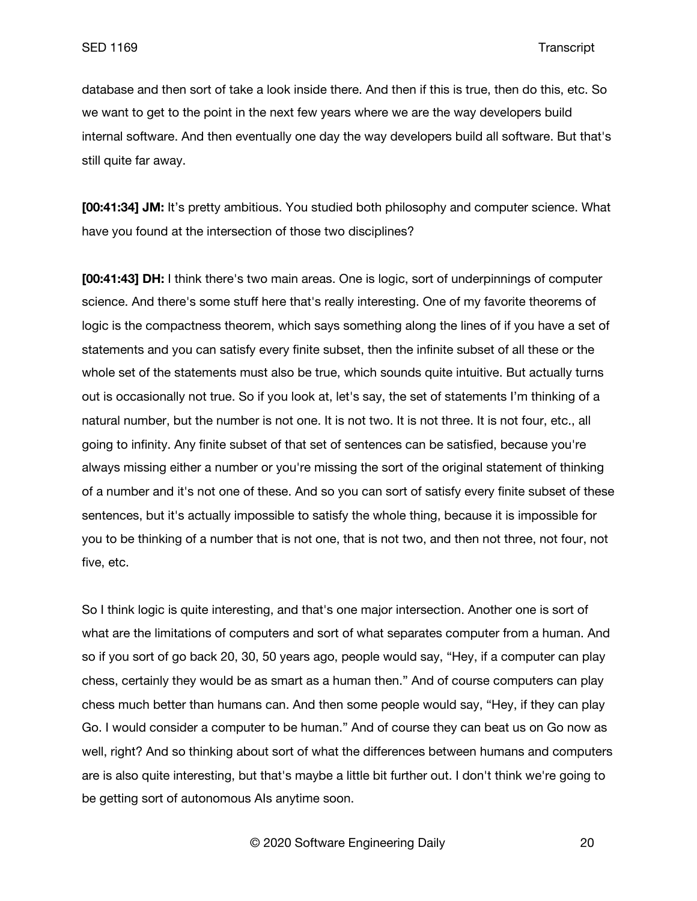database and then sort of take a look inside there. And then if this is true, then do this, etc. So we want to get to the point in the next few years where we are the way developers build internal software. And then eventually one day the way developers build all software. But that's still quite far away.

**[00:41:34] JM:** It's pretty ambitious. You studied both philosophy and computer science. What have you found at the intersection of those two disciplines?

**[00:41:43] DH:** I think there's two main areas. One is logic, sort of underpinnings of computer science. And there's some stuff here that's really interesting. One of my favorite theorems of logic is the compactness theorem, which says something along the lines of if you have a set of statements and you can satisfy every finite subset, then the infinite subset of all these or the whole set of the statements must also be true, which sounds quite intuitive. But actually turns out is occasionally not true. So if you look at, let's say, the set of statements I'm thinking of a natural number, but the number is not one. It is not two. It is not three. It is not four, etc., all going to infinity. Any finite subset of that set of sentences can be satisfied, because you're always missing either a number or you're missing the sort of the original statement of thinking of a number and it's not one of these. And so you can sort of satisfy every finite subset of these sentences, but it's actually impossible to satisfy the whole thing, because it is impossible for you to be thinking of a number that is not one, that is not two, and then not three, not four, not five, etc.

So I think logic is quite interesting, and that's one major intersection. Another one is sort of what are the limitations of computers and sort of what separates computer from a human. And so if you sort of go back 20, 30, 50 years ago, people would say, "Hey, if a computer can play chess, certainly they would be as smart as a human then." And of course computers can play chess much better than humans can. And then some people would say, "Hey, if they can play Go. I would consider a computer to be human." And of course they can beat us on Go now as well, right? And so thinking about sort of what the differences between humans and computers are is also quite interesting, but that's maybe a little bit further out. I don't think we're going to be getting sort of autonomous AIs anytime soon.